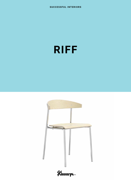

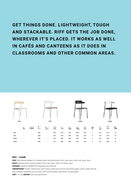## **GET THINGS DONE. LIGHTWEIGHT, TOUGH AND STACKABLE. RIFF GETS THE JOB DONE, WHEREVER IT'S PLACED. IT WORKS AS WELL IN CAFÉS AND CANTEENS AS IT DOES IN CLASSROOMS AND OTHER COMMON AREAS.**



## **RIFF – CHAIR**

**SEAT** Upholstered, padded or moulded wood, laminate (beech, birch, oak, black, white, red, green, blue).

**BACK** Moulded wood, laminate (beech, birch, oak, black, white, red, green, blue).

**PADDING** Polyether. ARMRESTS Integrated with backrest.

**UNDERFRAME** Powder-coated steel, (silver, black, white) and chrome with plastic glides. Option: glide with felt pad. Linkable. Stackable (up to 6 chairs with chrome-plated underframe). Suspendable.

**UNIT** mm. kg. **DESIGN** Sture Eng, Kjell Nordin.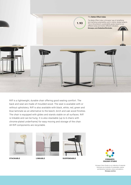

Riff is a lightweight, durable chair offering good seating comfort. The back and seat are made of moulded wood. The seat is available with or without upholstery. Riff is also available with black, white, red, green and blue laminate as an alternative to the beech, birch and oak wood finishes. The chair is equipped with glides and stands stable on all surfaces. Riff is linkable and can be hung. It is also stackable (up to 6 chairs with chrome-plated underframe) for easy moving and storage of the chair. All Riff components are recyclable.







**STACKABLE LINKABLE SUSPENDABLE**



Kinnarps Colour Studio is our collection of materials that gives you hundreds of sustainable, creative and attractive materials, colours and patterns. Kinnarns.com/kcs